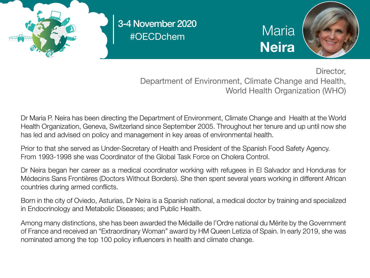

#OECDchem 3-4 November 2020

**Maria Neira** 



Director, Department of Environment, Climate Change and Health, World Health Organization (WHO)

Dr Maria P. Neira has been directing the Department of Environment, Climate Change and Health at the World Health Organization, Geneva, Switzerland since September 2005. Throughout her tenure and up until now she has led and advised on policy and management in key areas of environmental health.

Prior to that she served as Under-Secretary of Health and President of the Spanish Food Safety Agency. From 1993-1998 she was Coordinator of the Global Task Force on Cholera Control.

Dr Neira began her career as a medical coordinator working with refugees in El Salvador and Honduras for Médecins Sans Frontières (Doctors Without Borders). She then spent several years working in different African countries during armed conflicts.

Born in the city of Oviedo, Asturias, Dr Neira is a Spanish national, a medical doctor by training and specialized in Endocrinology and Metabolic Diseases; and Public Health.

Among many distinctions, she has been awarded the Médaille de l'Ordre national du Mérite by the Government of France and received an "Extraordinary Woman" award by HM Queen Letizia of Spain. In early 2019, she was nominated among the top 100 policy influencers in health and climate change.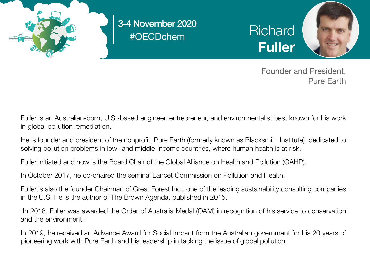

#OECDchem 3-4 November 2020

**Richard** Fuller



 Founder and President, Pure Earth

Fuller is an Australian-born, U.S.-based engineer, entrepreneur, and environmentalist best known for his work in global pollution remediation.

He is founder and president of the nonprofit, Pure Earth (formerly known as Blacksmith Institute), dedicated to solving pollution problems in low- and middle-income countries, where human health is at risk.

Fuller initiated and now is the Board Chair of the Global Alliance on Health and Pollution (GAHP).

In October 2017, he co-chaired the seminal Lancet Commission on Pollution and Health.

Fuller is also the founder Chairman of Great Forest Inc., one of the leading sustainability consulting companies in the U.S. He is the author of The Brown Agenda, published in 2015.

 In 2018, Fuller was awarded the Order of Australia Medal (OAM) in recognition of his service to conservation and the environment.

In 2019, he received an Advance Award for Social Impact from the Australian government for his 20 years of pioneering work with Pure Earth and his leadership in tacking the issue of global pollution.